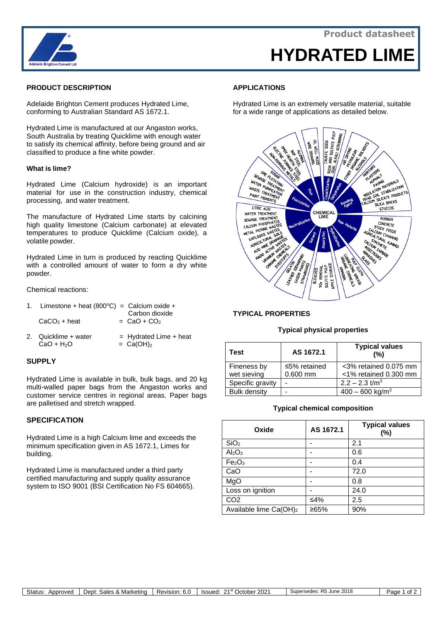

# **HYDRATED LIME**

## **PRODUCT DESCRIPTION**

Adelaide Brighton Cement produces Hydrated Lime, conforming to Australian Standard AS 1672.1.

Hydrated Lime is manufactured at our Angaston works, South Australia by treating Quicklime with enough water to satisfy its chemical affinity, before being ground and air classified to produce a fine white powder.

#### **What is lime?**

Hydrated Lime (Calcium hydroxide) is an important material for use in the construction industry, chemical processing, and water treatment.

The manufacture of Hydrated Lime starts by calcining high quality limestone (Calcium carbonate) at elevated temperatures to produce Quicklime (Calcium oxide), a volatile powder.

Hydrated Lime in turn is produced by reacting Quicklime with a controlled amount of water to form a dry white powder.

Chemical reactions:

| 1. Limestone + heat $(800^{\circ}C)$ = Calcium oxide +<br>$CaCO3 + heat$ | Carbon dioxide<br>$=$ CaO + CO <sub>2</sub>         |
|--------------------------------------------------------------------------|-----------------------------------------------------|
| 2. Quicklime + water<br>$CaO + H2O$                                      | $=$ Hydrated Lime + heat<br>$=$ Ca(OH) <sub>2</sub> |

## **SUPPLY**

Hydrated Lime is available in bulk, bulk bags, and 20 kg multi-walled paper bags from the Angaston works and customer service centres in regional areas. Paper bags are palletised and stretch wrapped.

## **SPECIFICATION**

Hydrated Lime is a high Calcium lime and exceeds the minimum specification given in AS 1672.1, Limes for building.

Hydrated Lime is manufactured under a third party certified manufacturing and supply quality assurance system to ISO 9001 (BSI Certification No FS 604665).

### **APPLICATIONS**

Hydrated Lime is an extremely versatile material, suitable for a wide range of applications as detailed below.



## **TYPICAL PROPERTIES**

#### **Typical physical properties**

| Test                       | AS 1672.1                        | <b>Typical values</b><br>(%)                   |
|----------------------------|----------------------------------|------------------------------------------------|
| Fineness by<br>wet sieving | $\leq$ 5% retained<br>$0.600$ mm | <3% retained 0.075 mm<br><1% retained 0.300 mm |
| Specific gravity           |                                  | $2.2 - 2.3$ t/m <sup>3</sup>                   |
| <b>Bulk density</b>        |                                  | $400 - 600$ kg/m <sup>3</sup>                  |

#### **Typical chemical composition**

| Oxide                              | AS 1672.1 | <b>Typical values</b><br>(%) |
|------------------------------------|-----------|------------------------------|
| SiO <sub>2</sub>                   |           | 2.1                          |
| Al <sub>2</sub> O <sub>3</sub>     |           | 0.6                          |
| Fe <sub>2</sub> O <sub>3</sub>     |           | 0.4                          |
| CaO                                |           | 72.0                         |
| MgO                                |           | 0.8                          |
| Loss on ignition                   |           | 24.0                         |
| CO <sub>2</sub>                    | ≤4%       | 2.5                          |
| Available lime Ca(OH) <sub>2</sub> | ≥65%      | 90%                          |